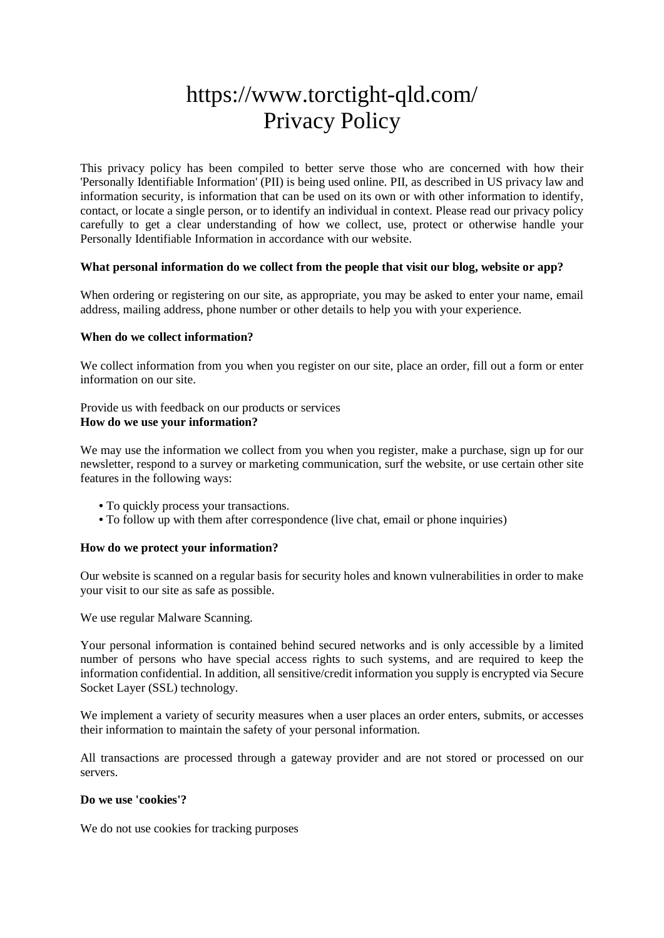# https://www.torctight-qld.com/ Privacy Policy

This privacy policy has been compiled to better serve those who are concerned with how their 'Personally Identifiable Information' (PII) is being used online. PII, as described in US privacy law and information security, is information that can be used on its own or with other information to identify, contact, or locate a single person, or to identify an individual in context. Please read our privacy policy carefully to get a clear understanding of how we collect, use, protect or otherwise handle your Personally Identifiable Information in accordance with our website.

## **What personal information do we collect from the people that visit our blog, website or app?**

When ordering or registering on our site, as appropriate, you may be asked to enter your name, email address, mailing address, phone number or other details to help you with your experience.

## **When do we collect information?**

We collect information from you when you register on our site, place an order, fill out a form or enter information on our site.

Provide us with feedback on our products or services **How do we use your information?**

We may use the information we collect from you when you register, make a purchase, sign up for our newsletter, respond to a survey or marketing communication, surf the website, or use certain other site features in the following ways:

- **•** To quickly process your transactions.
- To follow up with them after correspondence (live chat, email or phone inquiries)

## **How do we protect your information?**

Our website is scanned on a regular basis for security holes and known vulnerabilities in order to make your visit to our site as safe as possible.

We use regular Malware Scanning.

Your personal information is contained behind secured networks and is only accessible by a limited number of persons who have special access rights to such systems, and are required to keep the information confidential. In addition, all sensitive/credit information you supply is encrypted via Secure Socket Layer (SSL) technology.

We implement a variety of security measures when a user places an order enters, submits, or accesses their information to maintain the safety of your personal information.

All transactions are processed through a gateway provider and are not stored or processed on our servers.

## **Do we use 'cookies'?**

We do not use cookies for tracking purposes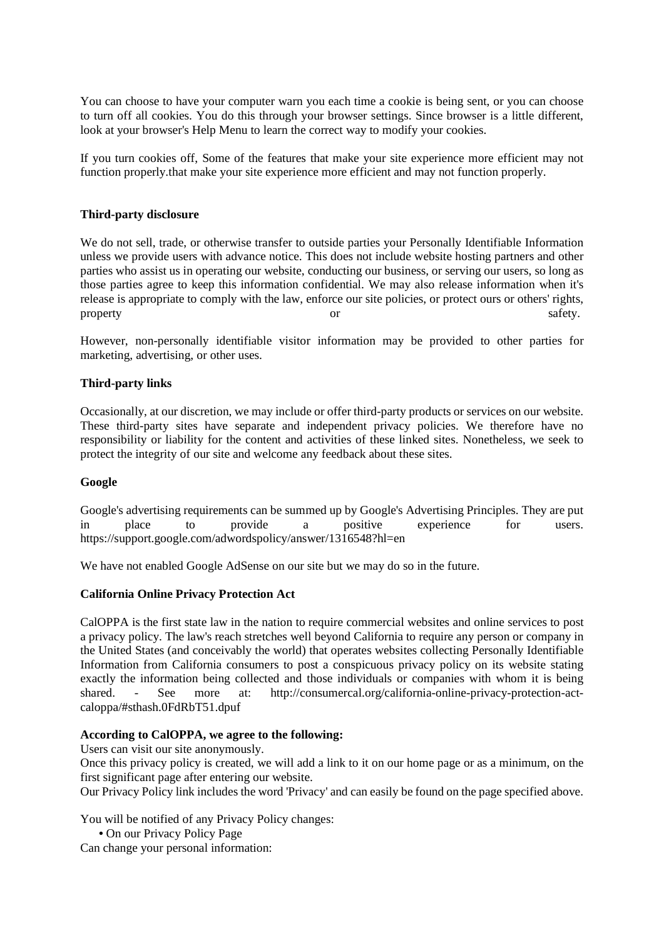You can choose to have your computer warn you each time a cookie is being sent, or you can choose to turn off all cookies. You do this through your browser settings. Since browser is a little different, look at your browser's Help Menu to learn the correct way to modify your cookies.

If you turn cookies off, Some of the features that make your site experience more efficient may not function properly.that make your site experience more efficient and may not function properly.

## **Third-party disclosure**

We do not sell, trade, or otherwise transfer to outside parties your Personally Identifiable Information unless we provide users with advance notice. This does not include website hosting partners and other parties who assist us in operating our website, conducting our business, or serving our users, so long as those parties agree to keep this information confidential. We may also release information when it's release is appropriate to comply with the law, enforce our site policies, or protect ours or others' rights, property safety.

However, non-personally identifiable visitor information may be provided to other parties for marketing, advertising, or other uses.

#### **Third-party links**

Occasionally, at our discretion, we may include or offer third-party products or services on our website. These third-party sites have separate and independent privacy policies. We therefore have no responsibility or liability for the content and activities of these linked sites. Nonetheless, we seek to protect the integrity of our site and welcome any feedback about these sites.

#### **Google**

Google's advertising requirements can be summed up by Google's Advertising Principles. They are put in place to provide a positive experience for users. https://support.google.com/adwordspolicy/answer/1316548?hl=en

We have not enabled Google AdSense on our site but we may do so in the future.

#### **California Online Privacy Protection Act**

CalOPPA is the first state law in the nation to require commercial websites and online services to post a privacy policy. The law's reach stretches well beyond California to require any person or company in the United States (and conceivably the world) that operates websites collecting Personally Identifiable Information from California consumers to post a conspicuous privacy policy on its website stating exactly the information being collected and those individuals or companies with whom it is being shared. - See more at: http://consumercal.org/california-online-privacy-protection-actcaloppa/#sthash.0FdRbT51.dpuf

#### **According to CalOPPA, we agree to the following:**

Users can visit our site anonymously.

Once this privacy policy is created, we will add a link to it on our home page or as a minimum, on the first significant page after entering our website.

Our Privacy Policy link includes the word 'Privacy' and can easily be found on the page specified above.

You will be notified of any Privacy Policy changes:

**•** On our Privacy Policy Page

Can change your personal information: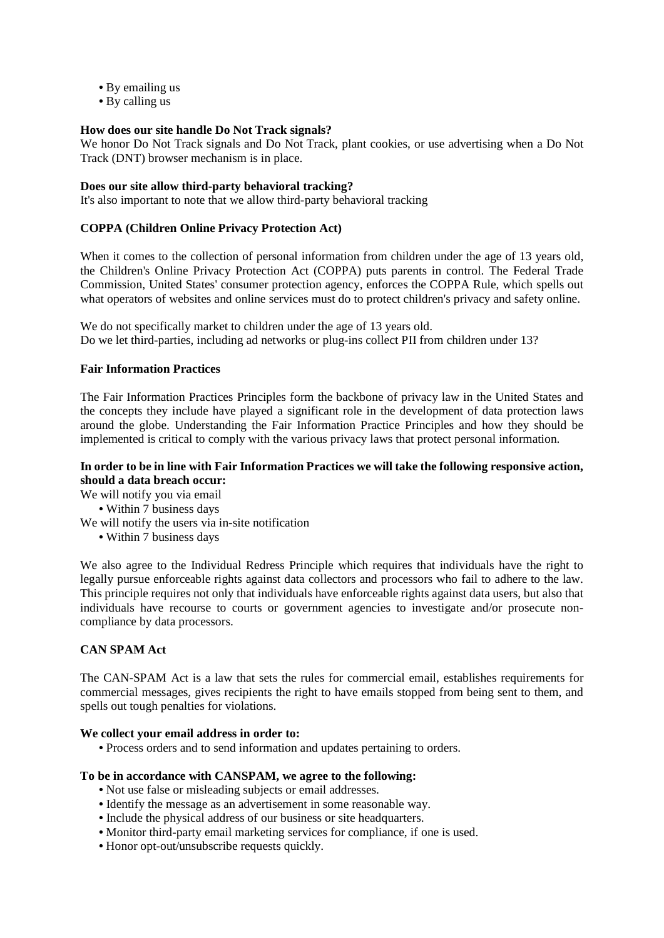- **•** By emailing us
- **•** By calling us

## **How does our site handle Do Not Track signals?**

We honor Do Not Track signals and Do Not Track, plant cookies, or use advertising when a Do Not Track (DNT) browser mechanism is in place.

## **Does our site allow third-party behavioral tracking?**

It's also important to note that we allow third-party behavioral tracking

# **COPPA (Children Online Privacy Protection Act)**

When it comes to the collection of personal information from children under the age of 13 years old, the Children's Online Privacy Protection Act (COPPA) puts parents in control. The Federal Trade Commission, United States' consumer protection agency, enforces the COPPA Rule, which spells out what operators of websites and online services must do to protect children's privacy and safety online.

We do not specifically market to children under the age of 13 years old. Do we let third-parties, including ad networks or plug-ins collect PII from children under 13?

# **Fair Information Practices**

The Fair Information Practices Principles form the backbone of privacy law in the United States and the concepts they include have played a significant role in the development of data protection laws around the globe. Understanding the Fair Information Practice Principles and how they should be implemented is critical to comply with the various privacy laws that protect personal information.

## **In order to be in line with Fair Information Practices we will take the following responsive action, should a data breach occur:**

We will notify you via email

- **•** Within 7 business days
- We will notify the users via in-site notification
	- **•** Within 7 business days

We also agree to the Individual Redress Principle which requires that individuals have the right to legally pursue enforceable rights against data collectors and processors who fail to adhere to the law. This principle requires not only that individuals have enforceable rights against data users, but also that individuals have recourse to courts or government agencies to investigate and/or prosecute noncompliance by data processors.

## **CAN SPAM Act**

The CAN-SPAM Act is a law that sets the rules for commercial email, establishes requirements for commercial messages, gives recipients the right to have emails stopped from being sent to them, and spells out tough penalties for violations.

## **We collect your email address in order to:**

**•** Process orders and to send information and updates pertaining to orders.

## **To be in accordance with CANSPAM, we agree to the following:**

- **•** Not use false or misleading subjects or email addresses.
- **•** Identify the message as an advertisement in some reasonable way.
- **•** Include the physical address of our business or site headquarters.
- **•** Monitor third-party email marketing services for compliance, if one is used.
- **•** Honor opt-out/unsubscribe requests quickly.